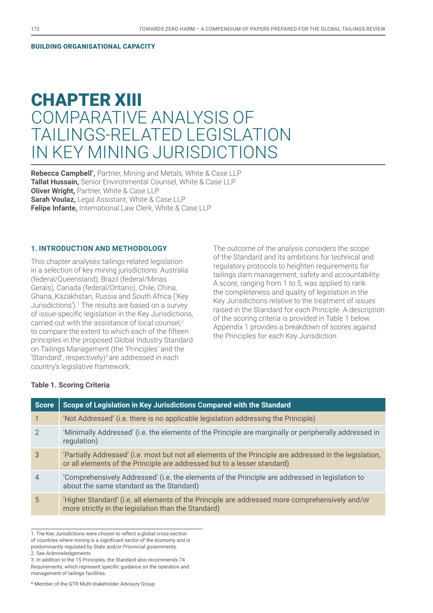#### BUILDING ORGANISATIONAL CAPACITY

# CHAPTER XIII COMPARATIVE ANALYSIS OF TAILINGS-RELATED LEGISLATION IN KEY MINING JURISDICTIONS

**Rebecca Campbell\* ,** Partner, Mining and Metals, White & Case LLP **Tallat Hussain,** Senior Environmental Counsel, White & Case LLP **Oliver Wright,** Partner, White & Case LLP **Sarah Voulaz,** Legal Assistant, White & Case LLP **Felipe Infante,** International Law Clerk, White & Case LLP

# **1. INTRODUCTION AND METHODOLOGY**

This chapter analyses tailings-related legislation in a selection of key mining jurisdictions: Australia (federal/Queensland), Brazil (federal/Minas Gerais), Canada (federal/Ontario), Chile, China, Ghana, Kazakhstan, Russia and South Africa ('Key Jurisdictions').<sup>1</sup> The results are based on a survey of issue-specific legislation in the Key Jurisdictions, carried out with the assistance of local counsel,<sup>2</sup> to compare the extent to which each of the fifteen principles in the proposed Global Industry Standard on Tailings Management (the 'Principles' and the 'Standard', respectively) $3$  are addressed in each country's legislative framework.

The outcome of the analysis considers the scope of the Standard and its ambitions for technical and regulatory protocols to heighten requirements for tailings dam management, safety and accountability. A score, ranging from 1 to 5, was applied to rank the completeness and quality of legislation in the Key Jurisdictions relative to the treatment of issues raised in the Standard for each Principle. A description of the scoring criteria is provided in Table 1 below. Appendix 1 provides a breakdown of scores against the Principles for each Key Jurisdiction.

#### **Table 1. Scoring Criteria**

| <b>Score</b>   | Scope of Legislation in Key Jurisdictions Compared with the Standard                                                                                                                 |
|----------------|--------------------------------------------------------------------------------------------------------------------------------------------------------------------------------------|
|                | 'Not Addressed' (i.e. there is no applicable legislation addressing the Principle)                                                                                                   |
| $\mathcal{P}$  | 'Minimally Addressed' (i.e. the elements of the Principle are marginally or peripherally addressed in<br>regulation)                                                                 |
| 3              | 'Partially Addressed' (i.e. most but not all elements of the Principle are addressed in the legislation,<br>or all elements of the Principle are addressed but to a lesser standard) |
| $\overline{4}$ | Comprehensively Addressed' (i.e. the elements of the Principle are addressed in legislation to<br>about the same standard as the Standard)                                           |
| 5              | 'Higher Standard' (i.e. all elements of the Principle are addressed more comprehensively and/or<br>more strictly in the legislation than the Standard)                               |

<sup>1.</sup> The Key Jurisdictions were chosen to reflect a global cross-section of countries where mining is a significant sector of the economy and is

\* Member of the GTR Multi-stakeholder Advisory Group

predominantly regulated by State and/or Provincial governments.

<sup>2.</sup> See Acknowledgements.

<sup>3.</sup> In addition to the 15 Principles, the Standard also recommends 74 Requirements, which represent specific guidance on the operation and management of tailings facilities.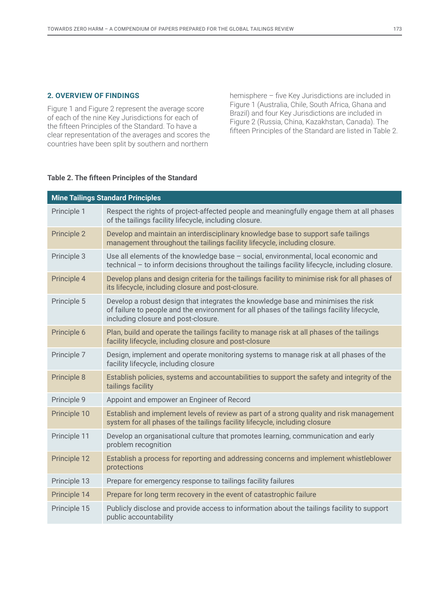## **2. OVERVIEW OF FINDINGS**

Figure 1 and Figure 2 represent the average score of each of the nine Key Jurisdictions for each of the fifteen Principles of the Standard. To have a clear representation of the averages and scores the countries have been split by southern and northern

hemisphere – five Key Jurisdictions are included in Figure 1 (Australia, Chile, South Africa, Ghana and Brazil) and four Key Jurisdictions are included in Figure 2 (Russia, China, Kazakhstan, Canada). The fifteen Principles of the Standard are listed in Table 2.

### **Table 2. The fifteen Principles of the Standard**

| <b>Mine Tailings Standard Principles</b> |                                                                                                                                                                                                                         |  |  |  |  |  |  |  |
|------------------------------------------|-------------------------------------------------------------------------------------------------------------------------------------------------------------------------------------------------------------------------|--|--|--|--|--|--|--|
| Principle 1                              | Respect the rights of project-affected people and meaningfully engage them at all phases<br>of the tailings facility lifecycle, including closure.                                                                      |  |  |  |  |  |  |  |
| Principle 2                              | Develop and maintain an interdisciplinary knowledge base to support safe tailings<br>management throughout the tailings facility lifecycle, including closure.                                                          |  |  |  |  |  |  |  |
| Principle 3                              | Use all elements of the knowledge base - social, environmental, local economic and<br>technical - to inform decisions throughout the tailings facility lifecycle, including closure.                                    |  |  |  |  |  |  |  |
| Principle 4                              | Develop plans and design criteria for the tailings facility to minimise risk for all phases of<br>its lifecycle, including closure and post-closure.                                                                    |  |  |  |  |  |  |  |
| Principle 5                              | Develop a robust design that integrates the knowledge base and minimises the risk<br>of failure to people and the environment for all phases of the tailings facility lifecycle,<br>including closure and post-closure. |  |  |  |  |  |  |  |
| Principle 6                              | Plan, build and operate the tailings facility to manage risk at all phases of the tailings<br>facility lifecycle, including closure and post-closure                                                                    |  |  |  |  |  |  |  |
| Principle 7                              | Design, implement and operate monitoring systems to manage risk at all phases of the<br>facility lifecycle, including closure                                                                                           |  |  |  |  |  |  |  |
| Principle 8                              | Establish policies, systems and accountabilities to support the safety and integrity of the<br>tailings facility                                                                                                        |  |  |  |  |  |  |  |
| Principle 9                              | Appoint and empower an Engineer of Record                                                                                                                                                                               |  |  |  |  |  |  |  |
| Principle 10                             | Establish and implement levels of review as part of a strong quality and risk management<br>system for all phases of the tailings facility lifecycle, including closure                                                 |  |  |  |  |  |  |  |
| Principle 11                             | Develop an organisational culture that promotes learning, communication and early<br>problem recognition                                                                                                                |  |  |  |  |  |  |  |
| Principle 12                             | Establish a process for reporting and addressing concerns and implement whistleblower<br>protections                                                                                                                    |  |  |  |  |  |  |  |
| Principle 13                             | Prepare for emergency response to tailings facility failures                                                                                                                                                            |  |  |  |  |  |  |  |
| Principle 14                             | Prepare for long term recovery in the event of catastrophic failure                                                                                                                                                     |  |  |  |  |  |  |  |
| Principle 15                             | Publicly disclose and provide access to information about the tailings facility to support<br>public accountability                                                                                                     |  |  |  |  |  |  |  |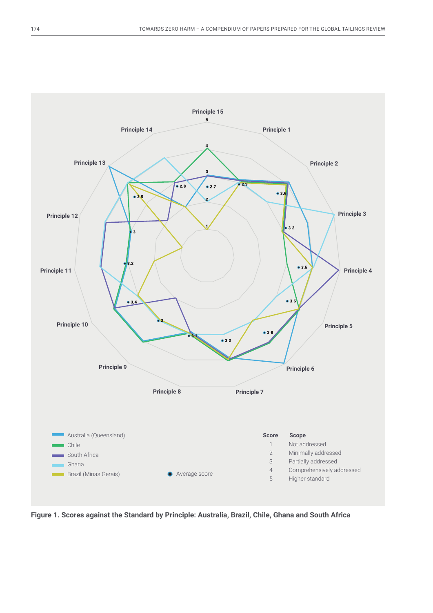

**Figure 1. Scores against the Standard by Principle: Australia, Brazil, Chile, Ghana and South Africa**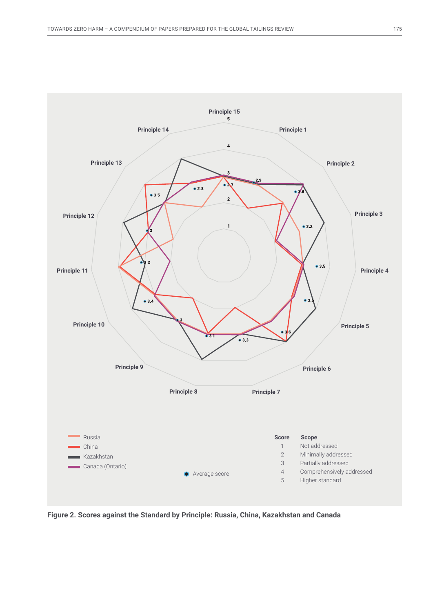

**Figure 2. Scores against the Standard by Principle: Russia, China, Kazakhstan and Canada**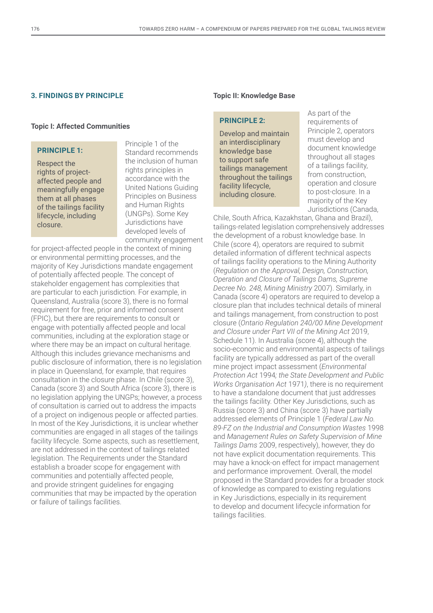#### **3. FINDINGS BY PRINCIPLE**

#### **Topic I: Affected Communities**

# **PRINCIPLE 1:**

Respect the rights of projectaffected people and meaningfully engage them at all phases of the tailings facility lifecycle, including closure.

Principle 1 of the Standard recommends the inclusion of human rights principles in accordance with the United Nations Guiding Principles on Business and Human Rights (UNGPs). Some Key Jurisdictions have developed levels of community engagement

for project-affected people in the context of mining or environmental permitting processes, and the majority of Key Jurisdictions mandate engagement of potentially affected people. The concept of stakeholder engagement has complexities that are particular to each jurisdiction. For example, in Queensland, Australia (score 3), there is no formal requirement for free, prior and informed consent (FPIC), but there are requirements to consult or engage with potentially affected people and local communities, including at the exploration stage or where there may be an impact on cultural heritage. Although this includes grievance mechanisms and public disclosure of information, there is no legislation in place in Queensland, for example, that requires consultation in the closure phase. In Chile (score 3), Canada (score 3) and South Africa (score 3), there is no legislation applying the UNGPs; however, a process of consultation is carried out to address the impacts of a project on indigenous people or affected parties. In most of the Key Jurisdictions, it is unclear whether communities are engaged in all stages of the tailings facility lifecycle. Some aspects, such as resettlement, are not addressed in the context of tailings related legislation. The Requirements under the Standard establish a broader scope for engagement with communities and potentially affected people, and provide stringent guidelines for engaging communities that may be impacted by the operation or failure of tailings facilities.

#### **Topic II: Knowledge Base**

#### **PRINCIPLE 2:**

Develop and maintain an interdisciplinary knowledge base to support safe tailings management throughout the tailings facility lifecycle, including closure.

As part of the requirements of Principle 2, operators must develop and document knowledge throughout all stages of a tailings facility, from construction, operation and closure to post-closure. In a majority of the Key Jurisdictions (Canada,

Chile, South Africa, Kazakhstan, Ghana and Brazil), tailings-related legislation comprehensively addresses the development of a robust knowledge base. In Chile (score 4), operators are required to submit detailed information of different technical aspects of tailings facility operations to the Mining Authority (*Regulation on the Approval, Design, Construction, Operation and Closure of Tailings Dams, Supreme Decree No. 248, Mining Ministry* 2007). Similarly, in Canada (score 4) operators are required to develop a closure plan that includes technical details of mineral and tailings management, from construction to post closure (*Ontario Regulation 240/00 Mine Development and Closure under Part VII of the Mining Act* 2019, Schedule 11). In Australia (score 4), although the socio-economic and environmental aspects of tailings facility are typically addressed as part of the overall mine project impact assessment (*Environmental Protection Act* 1994*; the State Development and Public Works Organisation Act* 1971*)*, there is no requirement to have a standalone document that just addresses the tailings facility. Other Key Jurisdictions, such as Russia (score 3) and China (score 3) have partially addressed elements of Principle 1 (*Federal Law No. 89-FZ on the Industrial and Consumption Wastes* 1998 and *Management Rules on Safety Supervision of Mine Tailings Dams* 2009, respectively), however, they do not have explicit documentation requirements. This may have a knock-on effect for impact management and performance improvement. Overall, the model proposed in the Standard provides for a broader stock of knowledge as compared to existing regulations in Key Jurisdictions, especially in its requirement to develop and document lifecycle information for tailings facilities.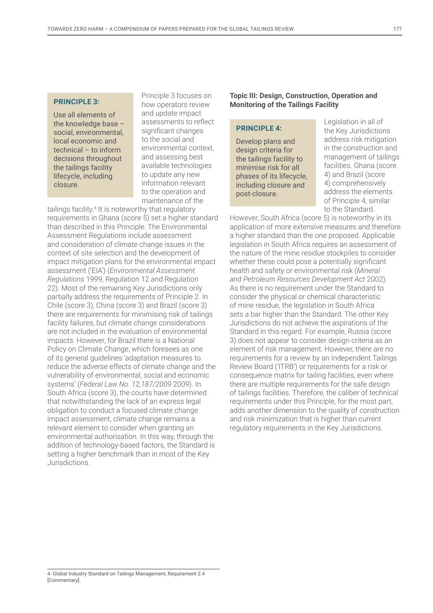## **PRINCIPLE 3:**

Use all elements of the knowledge base – social, environmental, local economic and technical – to inform decisions throughout the tailings facility lifecycle, including closure.

Principle 3 focuses on how operators review and update impact assessments to reflect significant changes to the social and environmental context, and assessing best available technologies to update any new information relevant to the operation and maintenance of the

tailings facility.<sup>4</sup> It is noteworthy that regulatory requirements in Ghana (score 5) set a higher standard than described in this Principle. The Environmental Assessment Regulations include assessment and consideration of climate change issues in the context of site selection and the development of impact mitigation plans for the environmental impact assessment ('EIA') (*Environmental Assessment Regulations* 1999, Regulation 12 and Regulation 22). Most of the remaining Key Jurisdictions only partially address the requirements of Principle 2. In Chile (score 3), China (score 3) and Brazil (score 3) there are requirements for minimising risk of tailings facility failures, but climate change considerations are not included in the evaluation of environmental impacts. However, for Brazil there is a National Policy on Climate Change, which foresees as one of its general guidelines 'adaptation measures to reduce the adverse effects of climate change and the vulnerability of environmental, social and economic systems' (*Federal Law No. 12,187/2009* 2009). In South Africa (score 3), the courts have determined that notwithstanding the lack of an express legal obligation to conduct a focused climate change impact assessment, climate change remains a relevant element to consider when granting an environmental authorisation. In this way, through the addition of technology-based factors, the Standard is setting a higher benchmark than in most of the Key Jurisdictions.

## **Topic III: Design, Construction, Operation and Monitoring of the Tailings Facility**

#### **PRINCIPLE 4:**

Develop plans and design criteria for the tailings facility to minimise risk for all phases of its lifecycle, including closure and post-closure.

Legislation in all of the Key Jurisdictions address risk mitigation in the construction and management of tailings facilities. Ghana (score 4) and Brazil (score 4) comprehensively address the elements of Principle 4, similar to the Standard.

However, South Africa (score 5) is noteworthy in its application of more extensive measures and therefore a higher standard than the one proposed. Applicable legislation in South Africa requires an assessment of the nature of the mine residue stockpiles to consider whether these could pose a potentially significant health and safety or environmental risk (*Mineral and Petroleum Resources Development Act* 2002). As there is no requirement under the Standard to consider the physical or chemical characteristic of mine residue, the legislation in South Africa sets a bar higher than the Standard. The other Key Jurisdictions do not achieve the aspirations of the Standard in this regard. For example, Russia (score 3) does not appear to consider design criteria as an element of risk management. However, there are no requirements for a review by an Independent Tailings Review Board ('ITRB') or requirements for a risk or consequence matrix for tailing facilities, even where there are multiple requirements for the safe design of tailings facilities. Therefore, the caliber of technical requirements under this Principle, for the most part, adds another dimension to the quality of construction and risk minimization that is higher than current regulatory requirements in the Key Jurisdictions.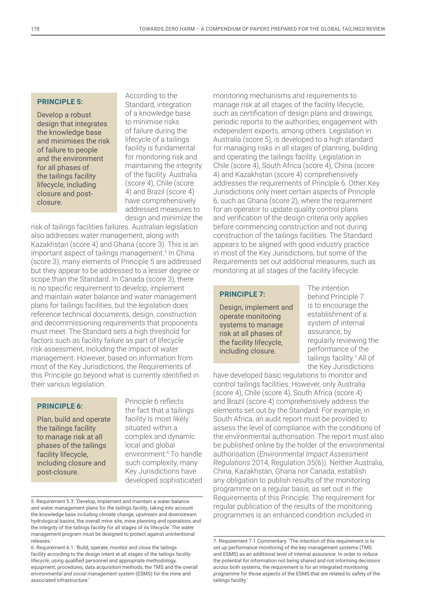# **PRINCIPLE 5:**

Develop a robust design that integrates the knowledge base and minimises the risk of failure to people and the environment for all phases of the tailings facility lifecycle, including closure and postclosure.

According to the Standard, integration of a knowledge base to minimise risks of failure during the lifecycle of a tailings facility is fundamental for monitoring risk and maintaining the integrity of the facility. Australia (score 4), Chile (score 4) and Brazil (score 4) have comprehensively addressed measures to design and minimize the

risk of tailings facilities failures. Australian legislation also addresses water management, along with Kazakhstan (score 4) and Ghana (score 3). This is an important aspect of tailings management.<sup>5</sup> In China (score 3), many elements of Principle 5 are addressed but they appear to be addressed to a lesser degree or scope than the Standard. In Canada (score 3), there is no specific requirement to develop, implement and maintain water balance and water management plans for tailings facilities, but the legislation does reference technical documents, design, construction and decommissioning requirements that proponents must meet. The Standard sets a high threshold for factors such as facility failure as part of lifecycle risk assessment, including the impact of water management. However, based on information from most of the Key Jurisdictions, the Requirements of this Principle go beyond what is currently identified in their various legislation.

## **PRINCIPLE 6:**

Plan, build and operate the tailings facility to manage risk at all phases of the tailings facility lifecycle, including closure and post-closure.

Principle 6 reflects the fact that a tailings facility is most likely situated within a complex and dynamic local and global environment.<sup>6</sup> To handle such complexity, many Key Jurisdictions have developed sophisticated

monitoring mechanisms and requirements to manage risk at all stages of the facility lifecycle, such as certification of design plans and drawings, periodic reports to the authorities, engagement with independent experts, among others. Legislation in Australia (score 5), is developed to a high standard for managing risks in all stages of planning, building and operating the tailings facility. Legislation in Chile (score 4), South Africa (score 4), China (score 4) and Kazakhstan (score 4) comprehensively addresses the requirements of Principle 6. Other Key Jurisdictions only meet certain aspects of Principle 6, such as Ghana (score 2), where the requirement for an operator to update quality control plans and verification of the design criteria only applies before commencing construction and not during construction of the tailings facilities. The Standard appears to be aligned with good industry practice in most of the Key Jurisdictions, but some of the Requirements set out additional measures, such as monitoring at all stages of the facility lifecycle.

#### **PRINCIPLE 7:**

Design, implement and operate monitoring systems to manage risk at all phases of the facility lifecycle, including closure.

The intention behind Principle 7 is to encourage the establishment of a system of internal assurance, by regularly reviewing the performance of the tailings facility.7 All of the Key Jurisdictions

have developed basic regulations to monitor and control tailings facilities. However, only Australia (score 4), Chile (score 4), South Africa (score 4) and Brazil (score 4) comprehensively address the elements set out by the Standard. For example, in South Africa, an audit report must be provided to assess the level of compliance with the conditions of the environmental authorisation. The report must also be published online by the holder of the environmental authorisation (*Environmental Impact Assessment Regulations* 2014, Regulation 35(6)). Neither Australia, China, Kazakhstan, Ghana nor Canada, establish any obligation to publish results of the monitoring programme on a regular basis, as set out in the Requirements of this Principle. The requirement for regular publication of the results of the monitoring programmes is an enhanced condition included in

<sup>5.</sup> Requirement 5.3: 'Develop, implement and maintain a water balance and water management plans for the *tailings facility*, taking into account the knowledge base including climate change, upstream and downstream hydrological basins, the overall mine site, mine planning and operations and the integrity of the tailings facility for all stages of its lifecycle. The water management program must be designed to protect against unintentional releases.'

<sup>6.</sup> Requirement 6.1: 'Build, operate, monitor and close the tailings facility according to the design intent at all stages of the *tailings facility lifecycle*, using qualified personnel and appropriate methodology, equipment, procedures, data acquisition methods, the TMS and the overall *environmental and social management system* (ESMS) for the mine and associated infrastructure.'

<sup>7.</sup> Requirement 7.1 Commentary: 'The intention of this requirement is to set up performance monitoring of the key management systems (TMS and ESMS) as an additional level of internal assurance. In order to reduce the potential for information not being shared and not informing decisions across both systems, the requirement is for an integrated monitoring programme for those aspects of the ESMS that are related to safety of the tailings facility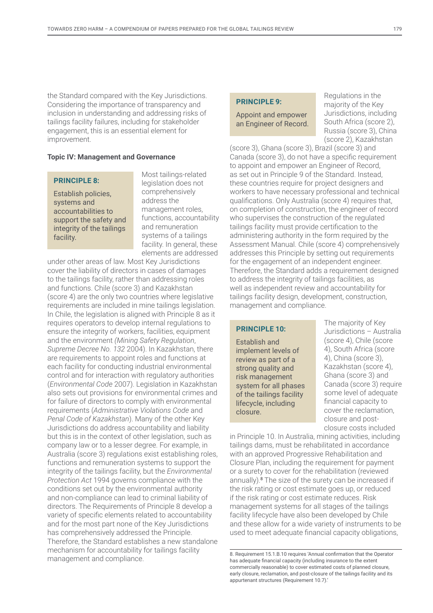the Standard compared with the Key Jurisdictions. Considering the importance of transparency and inclusion in understanding and addressing risks of tailings facility failures, including for stakeholder engagement, this is an essential element for improvement.

### **Topic IV: Management and Governance**

#### **PRINCIPLE 8:**

Establish policies, systems and accountabilities to support the safety and integrity of the tailings facility.

Most tailings-related legislation does not comprehensively address the management roles, functions, accountability and remuneration systems of a tailings facility. In general, these elements are addressed

under other areas of law. Most Key Jurisdictions cover the liability of directors in cases of damages to the tailings facility, rather than addressing roles and functions. Chile (score 3) and Kazakhstan (score 4) are the only two countries where legislative requirements are included in mine tailings legislation. In Chile, the legislation is aligned with Principle 8 as it requires operators to develop internal regulations to ensure the integrity of workers, facilities, equipment and the environment *(Mining Safety Regulation*, *Supreme Decree No. 132* 2004). In Kazakhstan, there are requirements to appoint roles and functions at each facility for conducting industrial environmental control and for interaction with regulatory authorities (*Environmental Code* 2007). Legislation in Kazakhstan also sets out provisions for environmental crimes and for failure of directors to comply with environmental requirements (*Administrative Violations Code* and *Penal Code of Kazakhstan*). Many of the other Key Jurisdictions do address accountability and liability but this is in the context of other legislation, such as company law or to a lesser degree. For example, in Australia (score 3) regulations exist establishing roles, functions and remuneration systems to support the integrity of the tailings facility, but the *Environmental Protection Act* 1994 governs compliance with the conditions set out by the environmental authority and non-compliance can lead to criminal liability of directors. The Requirements of Principle 8 develop a variety of specific elements related to accountability and for the most part none of the Key Jurisdictions has comprehensively addressed the Principle. Therefore, the Standard establishes a new standalone mechanism for accountability for tailings facility management and compliance.

#### **PRINCIPLE 9:**

Appoint and empower an Engineer of Record.

Regulations in the majority of the Key Jurisdictions, including South Africa (score 2), Russia (score 3), China (score 2), Kazakhstan

(score 3), Ghana (score 3), Brazil (score 3) and Canada (score 3), do not have a specific requirement to appoint and empower an Engineer of Record, as set out in Principle 9 of the Standard. Instead, these countries require for project designers and workers to have necessary professional and technical qualifications. Only Australia (score 4) requires that, on completion of construction, the engineer of record who supervises the construction of the regulated tailings facility must provide certification to the administering authority in the form required by the Assessment Manual. Chile (score 4) comprehensively addresses this Principle by setting out requirements for the engagement of an independent engineer. Therefore, the Standard adds a requirement designed to address the integrity of tailings facilities, as well as independent review and accountability for tailings facility design, development, construction, management and compliance.

#### **PRINCIPLE 10:**

Establish and implement levels of review as part of a strong quality and risk management system for all phases of the tailings facility lifecycle, including closure.

The majority of Key Jurisdictions – Australia (score 4), Chile (score 4), South Africa (score 4), China (score 3), Kazakhstan (score 4), Ghana (score 3) and Canada (score 3) require some level of adequate financial capacity to cover the reclamation, closure and postclosure costs included

in Principle 10. In Australia, mining activities, including tailings dams, must be rehabilitated in accordance with an approved Progressive Rehabilitation and Closure Plan, including the requirement for payment or a surety to cover for the rehabilitation (reviewed annually).<sup>8</sup> The size of the surety can be increased if the risk rating or cost estimate goes up, or reduced if the risk rating or cost estimate reduces. Risk management systems for all stages of the tailings facility lifecycle have also been developed by Chile and these allow for a wide variety of instruments to be used to meet adequate financial capacity obligations,

8. Requirement 15.1.B.10 requires 'Annual confirmation that the Operator has adequate financial capacity (including insurance to the extent commercially reasonable) to cover estimated costs of planned closure, early closure, reclamation, and post-closure of the tailings facility and its appurtenant structures (Requirement 10.7).'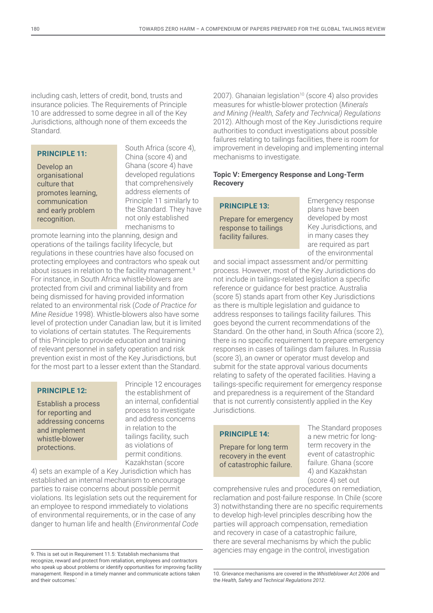including cash, letters of credit, bond, trusts and insurance policies. The Requirements of Principle 10 are addressed to some degree in all of the Key Jurisdictions, although none of them exceeds the Standard.

## **PRINCIPLE 11:**

Develop an organisational culture that promotes learning, communication and early problem recognition.

South Africa (score 4), China (score 4) and Ghana (score 4) have developed regulations that comprehensively address elements of Principle 11 similarly to the Standard. They have not only established mechanisms to

promote learning into the planning, design and operations of the tailings facility lifecycle, but regulations in these countries have also focused on protecting employees and contractors who speak out about issues in relation to the facility management.<sup>9</sup> For instance, in South Africa whistle-blowers are protected from civil and criminal liability and from being dismissed for having provided information related to an environmental risk (*Code of Practice for Mine Residue* 1998). Whistle-blowers also have some level of protection under Canadian law, but it is limited to violations of certain statutes. The Requirements of this Principle to provide education and training of relevant personnel in safety operation and risk prevention exist in most of the Key Jurisdictions, but for the most part to a lesser extent than the Standard.

## **PRINCIPLE 12:**

Establish a process for reporting and addressing concerns and implement whistle-blower protections.

Principle 12 encourages the establishment of an internal, confidential process to investigate and address concerns in relation to the tailings facility, such as violations of permit conditions. Kazakhstan (score

4) sets an example of a Key Jurisdiction which has established an internal mechanism to encourage parties to raise concerns about possible permit violations. Its legislation sets out the requirement for an employee to respond immediately to violations of environmental requirements, or in the case of any danger to human life and health (*Environmental Code* 

9. This is set out in Requirement 11.5: 'Establish mechanisms that recognize, reward and protect from retaliation, employees and contractors who speak up about problems or identify opportunities for improving facility management. Respond in a timely manner and communicate actions taken and their outcomes.'

2007). Ghanaian legislation<sup>10</sup> (score 4) also provides measures for whistle-blower protection (*Minerals and Mining (Health, Safety and Technical) Regulations*  2012). Although most of the Key Jurisdictions require authorities to conduct investigations about possible failures relating to tailings facilities, there is room for improvement in developing and implementing internal mechanisms to investigate.

## **Topic V: Emergency Response and Long-Term Recovery**

# **PRINCIPLE 13:**

Prepare for emergency response to tailings facility failures.

Emergency response plans have been developed by most Key Jurisdictions, and in many cases they are required as part of the environmental

and social impact assessment and/or permitting process. However, most of the Key Jurisdictions do not include in tailings-related legislation a specific reference or guidance for best practice. Australia (score 5) stands apart from other Key Jurisdictions as there is multiple legislation and guidance to address responses to tailings facility failures. This goes beyond the current recommendations of the Standard. On the other hand, in South Africa (score 2), there is no specific requirement to prepare emergency responses in cases of tailings dam failures. In Russia (score 3), an owner or operator must develop and submit for the state approval various documents relating to safety of the operated facilities. Having a tailings-specific requirement for emergency response and preparedness is a requirement of the Standard that is not currently consistently applied in the Key Jurisdictions.

# **PRINCIPLE 14:**

Prepare for long term recovery in the event of catastrophic failure. The Standard proposes a new metric for longterm recovery in the event of catastrophic failure. Ghana (score 4) and Kazakhstan (score 4) set out

comprehensive rules and procedures on remediation, reclamation and post-failure response. In Chile (score 3) notwithstanding there are no specific requirements to develop high-level principles describing how the parties will approach compensation, remediation and recovery in case of a catastrophic failure, there are several mechanisms by which the public agencies may engage in the control, investigation

<sup>10.</sup> Grievance mechanisms are covered in the *Whistleblower Act 2006* and the *Health, Safety and Technical Regulations 2012*.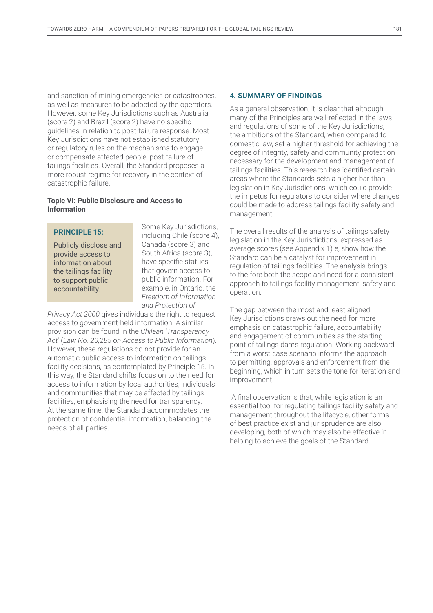and sanction of mining emergencies or catastrophes, as well as measures to be adopted by the operators. However, some Key Jurisdictions such as Australia (score 2) and Brazil (score 2) have no specific guidelines in relation to post-failure response. Most Key Jurisdictions have not established statutory or regulatory rules on the mechanisms to engage or compensate affected people, post-failure of tailings facilities. Overall, the Standard proposes a more robust regime for recovery in the context of catastrophic failure.

## **Topic VI: Public Disclosure and Access to Information**

## **PRINCIPLE 15:**

Publicly disclose and provide access to information about the tailings facility to support public accountability.

Some Key Jurisdictions, including Chile (score 4), Canada (score 3) and South Africa (score 3), have specific statues that govern access to public information. For example, in Ontario, the *Freedom of Information and Protection of* 

*Privacy Act 2000* gives individuals the right to request access to government-held information. A similar provision can be found in the *Chilean* '*Transparency Act*' (*Law No. 20,285 on Access to Public Information*). However, these regulations do not provide for an automatic public access to information on tailings facility decisions, as contemplated by Principle 15. In this way, the Standard shifts focus on to the need for access to information by local authorities, individuals and communities that may be affected by tailings facilities, emphasising the need for transparency. At the same time, the Standard accommodates the protection of confidential information, balancing the needs of all parties.

### **4. SUMMARY OF FINDINGS**

As a general observation, it is clear that although many of the Principles are well-reflected in the laws and regulations of some of the Key Jurisdictions, the ambitions of the Standard, when compared to domestic law, set a higher threshold for achieving the degree of integrity, safety and community protection necessary for the development and management of tailings facilities. This research has identified certain areas where the Standards sets a higher bar than legislation in Key Jurisdictions, which could provide the impetus for regulators to consider where changes could be made to address tailings facility safety and management.

The overall results of the analysis of tailings safety legislation in the Key Jurisdictions, expressed as average scores (see Appendix 1) e, show how the Standard can be a catalyst for improvement in regulation of tailings facilities. The analysis brings to the fore both the scope and need for a consistent approach to tailings facility management, safety and operation.

The gap between the most and least aligned Key Jurisdictions draws out the need for more emphasis on catastrophic failure, accountability and engagement of communities as the starting point of tailings dams regulation. Working backward from a worst case scenario informs the approach to permitting, approvals and enforcement from the beginning, which in turn sets the tone for iteration and improvement.

 A final observation is that, while legislation is an essential tool for regulating tailings facility safety and management throughout the lifecycle, other forms of best practice exist and jurisprudence are also developing, both of which may also be effective in helping to achieve the goals of the Standard.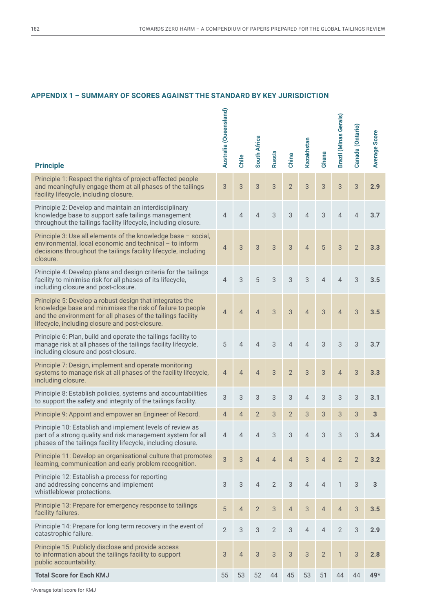# **APPENDIX 1 – SUMMARY OF SCORES AGAINST THE STANDARD BY KEY JURISDICTION**

| <b>Principle</b>                                                                                                                                                                                                                        | Australia (Queensland) | Chile          | South Africa   | Russia         | China          | Kazakhstan     | Ghana          | Brazil (Minas Gerais) | Canada (Ontario) | Average Score |
|-----------------------------------------------------------------------------------------------------------------------------------------------------------------------------------------------------------------------------------------|------------------------|----------------|----------------|----------------|----------------|----------------|----------------|-----------------------|------------------|---------------|
| Principle 1: Respect the rights of project-affected people<br>and meaningfully engage them at all phases of the tailings<br>facility lifecycle, including closure.                                                                      | 3                      | 3              | 3              | 3              | $\overline{2}$ | 3              | 3              | 3                     | 3                | 2.9           |
| Principle 2: Develop and maintain an interdisciplinary<br>knowledge base to support safe tailings management<br>throughout the tailings facility lifecycle, including closure.                                                          | $\overline{4}$         | $\overline{4}$ | $\overline{4}$ | 3              | 3              | $\overline{4}$ | 3              | $\overline{4}$        | $\overline{4}$   | 3.7           |
| Principle 3: Use all elements of the knowledge base - social,<br>environmental, local economic and technical - to inform<br>decisions throughout the tailings facility lifecycle, including<br>closure.                                 | $\overline{4}$         | $\mathfrak{S}$ | $\overline{3}$ | 3              | 3              | $\overline{4}$ | 5              | 3                     | $\overline{2}$   | 3.3           |
| Principle 4: Develop plans and design criteria for the tailings<br>facility to minimise risk for all phases of its lifecycle,<br>including closure and post-closure.                                                                    | $\overline{4}$         | 3              | 5              | 3              | 3              | $\mathcal{S}$  | $\overline{4}$ | $\overline{4}$        | 3                | 3.5           |
| Principle 5: Develop a robust design that integrates the<br>knowledge base and minimises the risk of failure to people<br>and the environment for all phases of the tailings facility<br>lifecycle, including closure and post-closure. | $\overline{4}$         | $\overline{4}$ | $\overline{4}$ | 3              | 3              | $\overline{4}$ | 3              | $\overline{4}$        | 3                | 3.5           |
| Principle 6: Plan, build and operate the tailings facility to<br>manage risk at all phases of the tailings facility lifecycle,<br>including closure and post-closure.                                                                   | 5                      | $\overline{4}$ | $\overline{4}$ | 3              | $\overline{4}$ | $\overline{4}$ | 3              | 3                     | 3                | 3.7           |
| Principle 7: Design, implement and operate monitoring<br>systems to manage risk at all phases of the facility lifecycle,<br>including closure.                                                                                          | $\overline{4}$         | $\overline{4}$ | $\overline{4}$ | 3              | $\overline{2}$ | 3              | 3              | $\overline{4}$        | 3                | 3.3           |
| Principle 8: Establish policies, systems and accountabilities<br>to support the safety and integrity of the tailings facility.                                                                                                          | 3                      | 3              | 3              | 3              | 3              | $\overline{4}$ | 3              | 3                     | 3                | 3.1           |
| Principle 9: Appoint and empower an Engineer of Record.                                                                                                                                                                                 | $\overline{4}$         | 4              | 2              | 3              | 2              | 3              | 3              | 3                     | 3                | 3             |
| Principle 10: Establish and implement levels of review as<br>part of a strong quality and risk management system for all<br>phases of the tailings facility lifecycle, including closure.                                               | 4                      | 4              | 4              | 3              | 3              | 4              | 3              | 3                     | 3                | 3.4           |
| Principle 11: Develop an organisational culture that promotes<br>learning, communication and early problem recognition.                                                                                                                 | $\mathfrak{S}$         | $\sqrt{3}$     | $\overline{4}$ | $\overline{4}$ | $\overline{4}$ | 3              | $\overline{4}$ | $\overline{2}$        | $\overline{2}$   | 3.2           |
| Principle 12: Establish a process for reporting<br>and addressing concerns and implement<br>whistleblower protections.                                                                                                                  | 3                      | 3              | $\overline{4}$ | $\overline{2}$ | $\sqrt{3}$     | $\overline{4}$ | $\overline{4}$ | $\mathbf{1}$          | 3                | 3             |
| Principle 13: Prepare for emergency response to tailings<br>facility failures.                                                                                                                                                          | 5                      | $\overline{4}$ | $\overline{2}$ | 3              | $\overline{4}$ | $\sqrt{3}$     | $\overline{4}$ | $\overline{4}$        | $\mathfrak{S}$   | 3.5           |
| Principle 14: Prepare for long term recovery in the event of<br>catastrophic failure.                                                                                                                                                   | $\mathbf{2}$           | 3              | 3              | $\overline{2}$ | 3              | $\overline{4}$ | $\overline{4}$ | $\overline{2}$        | 3                | 2.9           |
| Principle 15: Publicly disclose and provide access<br>to information about the tailings facility to support<br>public accountability.                                                                                                   |                        | $\overline{4}$ | $\mathfrak{S}$ | 3              | 3              | $\mathcal{S}$  | $\overline{2}$ | $\mathbf{1}$          | $\sqrt{3}$       | 2.8           |
| <b>Total Score for Each KMJ</b>                                                                                                                                                                                                         | 55                     | 53             | 52             | 44             | 45             | 53             | 51             | 44                    | 44               | 49*           |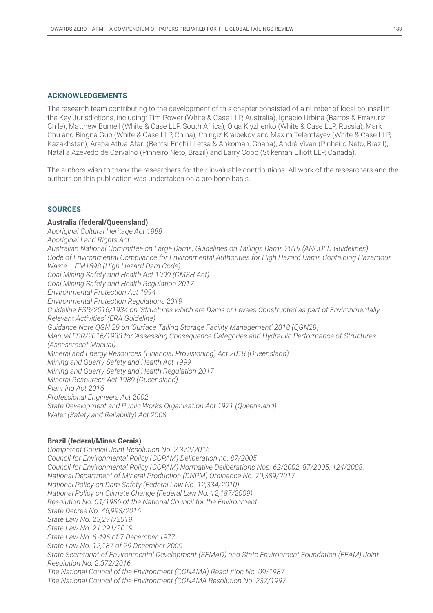## **ACKNOWLEDGEMENTS**

The research team contributing to the development of this chapter consisted of a number of local counsel in the Key Jurisdictions, including: Tim Power (White & Case LLP, Australia), Ignacio Urbina (Barros & Errazuriz, Chile), Matthew Burnell (White & Case LLP, South Africa), Olga Klyzhenko (White & Case LLP, Russia), Mark Chu and Bingna Guo (White & Case LLP, China), Chingiz Kraibekov and Maxim Telemtayev (White & Case LLP, Kazakhstan), Araba Attua-Afari (Bentsi-Enchill Letsa & Ankomah, Ghana), André Vivan (Pinheiro Neto, Brazil), Natália Azevedo de Carvalho (Pinheiro Neto, Brazil) and Larry Cobb (Stikeman Elliott LLP, Canada).

The authors wish to thank the researchers for their invaluable contributions. All work of the researchers and the authors on this publication was undertaken on a pro bono basis.

## **SOURCES**

### **Australia (federal/Queensland)**

*Aboriginal Cultural Heritage Act 1988 Aboriginal Land Rights Act Australian National Committee on Large Dams, Guidelines on Tailings Dams 2019 (ANCOLD Guidelines) Code of Environmental Compliance for Environmental Authorities for High Hazard Dams Containing Hazardous Waste – EM1698 (High Hazard Dam Code) Coal Mining Safety and Health Act 1999 (CMSH Act) Coal Mining Safety and Health Regulation 2017 Environmental Protection Act 1994 Environmental Protection Regulations 2019 Guideline ESR/2016/1934 on 'Structures which are Dams or Levees Constructed as part of Environmentally Relevant Activities' (ERA Guideline) Guidance Note QGN 29 on 'Surface Tailing Storage Facility Management' 2018 (QGN29) Manual ESR/2016/1933 for 'Assessing Consequence Categories and Hydraulic Performance of Structures' (Assessment Manual) Mineral and Energy Resources (Financial Provisioning) Act 2018 (Queensland) Mining and Quarry Safety and Health Act 1999 Mining and Quarry Safety and Health Regulation 2017 Mineral Resources Act 1989 (Queensland) Planning Act 2016 Professional Engineers Act 2002 State Development and Public Works Organisation Act 1971 (Queensland) Water (Safety and Reliability) Act 2008*

## **Brazil (federal/Minas Gerais)**

*Competent Council Joint Resolution No. 2.372/2016 Council for Environmental Policy (COPAM) Deliberation no. 87/2005 Council for Environmental Policy (COPAM) Normative Deliberations Nos. 62/2002, 87/2005, 124/2008. National Department of Mineral Production (DNPM) Ordinance No. 70,389/2017 National Policy on Dam Safety (Federal Law No. 12,334/2010) National Policy on Climate Change (Federal Law No. 12,187/2009) Resolution No. 01/1986 of the National Council for the Environment State Decree No. 46,993/2016 State Law No. 23,291/2019 State Law No. 21.291/2019 State Law No. 6.496 of 7 December 1977 State Law No. 12,187 of 29 December 2009 State Secretariat of Environmental Development (SEMAD) and State Environment Foundation (FEAM) Joint Resolution No. 2.372/2016 The National Council of the Environment (CONAMA) Resolution No. 09/1987 The National Council of the Environment (CONAMA Resolution No. 237/1997*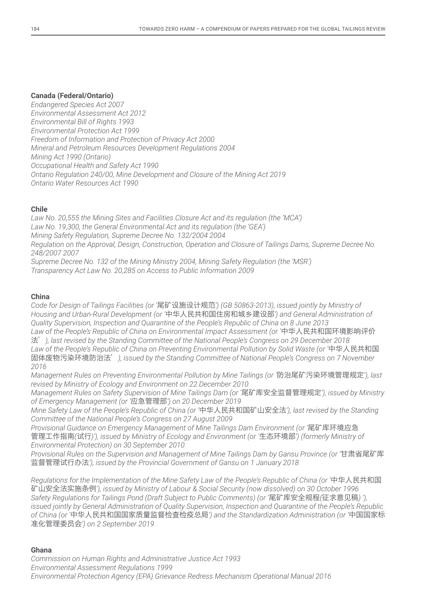# **Canada (Federal/Ontario)**

*Endangered Species Act 2007 Environmental Assessment Act 2012 Environmental Bill of Rights 1993 Environmental Protection Act 1999 Freedom of Information and Protection of Privacy Act 2000 Mineral and Petroleum Resources Development Regulations 2004 Mining Act 1990 (Ontario) Occupational Health and Safety Act 1990 Ontario Regulation 240/00, Mine Development and Closure of the Mining Act 2019 Ontario Water Resources Act 1990* 

# **Chile**

*Law No. 20,555 the Mining Sites and Facilities Closure Act and its regulation (the 'MCA') Law No. 19,300, the General Environmental Act and its regulation (the 'GEA') Mining Safety Regulation, Supreme Decree No. 132/2004 2004 Regulation on the Approval, Design, Construction, Operation and Closure of Tailings Dams, Supreme Decree No. 248/2007 2007 Supreme Decree No. 132 of the Mining Ministry 2004, Mining Safety Regulation (the 'MSR')*

*Transparency Act Law No. 20,285 on Access to Public Information 2009*

## **China**

*Code for Design of Tailings Facilities (or '*尾矿设施设计规范*') (GB 50863-2013), issued jointly by Ministry of Housing and Urban-Rural Development (or '*中华人民共和国住房和城乡建设部*') and General Administration of Quality Supervision, Inspection and Quarantine of the People's Republic of China on 8 June 2013 Law of the People's Republic of China on Environmental Impact Assessment (or '*中华人民共和国环境影响评价 法'*), last revised by the Standing Committee of the National People's Congress on 29 December 2018 Law of the People's Republic of China on Preventing Environmental Pollution by Solid Waste (or '*中华人民共和国 固体废物污染环境防治法'*), issued by the Standing Committee of National People's Congress on 7 November 2016*

*Management Rules on Preventing Environmental Pollution by Mine Tailings (or '*防治尾矿污染环境管理规定*'), last revised by Ministry of Ecology and Environment on 22 December 2010*

*Management Rules on Safety Supervision of Mine Tailings Dam (or '*尾矿库安全监督管理规定*'), issued by Ministry of Emergency Management (or '*应急管理部*') on 20 December 2019*

*Mine Safety Law of the People's Republic of China (or '*中华人民共和国矿山安全法*'), last revised by the Standing Committee of the National People's Congress on 27 August 2009*

*Provisional Guidance on Emergency Management of Mine Tailings Dam Environment (or '*尾矿库环境应急 管理工作指南*(*试行*)'), issued by Ministry of Ecology and Environment (or '*生态环境部*') (formerly Ministry of Environmental Protection) on 30 September 2010*

*Provisional Rules on the Supervision and Management of Mine Tailings Dam by Gansu Province (or '*甘肃省尾矿库 监督管理试行办法*'), issued by the Provincial Government of Gansu on 1 January 2018*

*Regulations for the Implementation of the Mine Safety Law of the People's Republic of China (or '*中华人民共和国 矿山安全法实施条例*'), issued by Ministry of Labour & Social Security (now dissolved) on 30 October 1996 Safety Regulations for Tailings Pond (Draft Subject to Public Comments) (or '*尾矿库安全规程*(*征求意见稿*) '), issued jointly by General Administration of Quality Supervision, Inspection and Quarantine of the People's Republic of China (or '*中华人民共和国国家质量监督检查检疫总局*') and the Standardization Administration (or '*中国国家标 准化管理委员会*') on 2 September 2019*

# **Ghana**

*Commission on Human Rights and Administrative Justice Act 1993 Environmental Assessment Regulations 1999 Environmental Protection Agency (EPA) Grievance Redress Mechanism Operational Manual 2016*